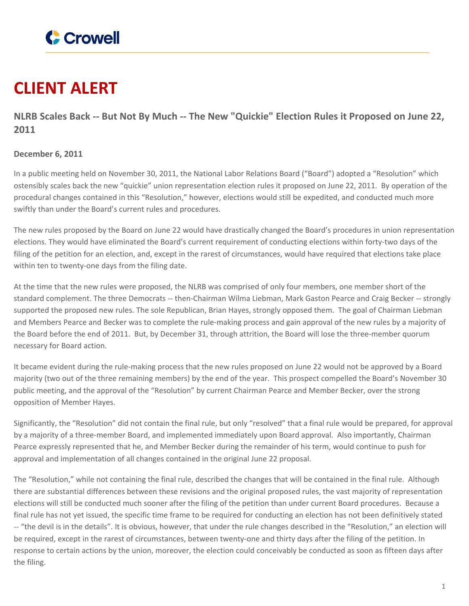

## **CLIENT ALERT**

NLRB Scales Back -- But Not By Much -- The New "Quickie" Election Rules it Proposed on June 22, **2011**

## **December 6, 2011**

In a public meeting held on November 30, 2011, the National Labor Relations Board ("Board") adopted a "Resolution" which ostensibly scales back the new "quickie" union representation election rules it proposed on June 22, 2011. By operation of the procedural changes contained in this "Resolution," however, elections would still be expedited, and conducted much more swiftly than under the Board's current rules and procedures.

The new rules proposed by the Board on June 22 would have drastically changed the Board's procedures in union representation elections. They would have eliminated the Board's current requirement of conducting elections within forty-two days of the filing of the petition for an election, and, except in the rarest of circumstances, would have required that elections take place within ten to twenty-one days from the filing date.

At the time that the new rules were proposed, the NLRB was comprised of only four members, one member short of the standard complement. The three Democrats -- then-Chairman Wilma Liebman, Mark Gaston Pearce and Craig Becker -- strongly supported the proposed new rules. The sole Republican, Brian Hayes, strongly opposed them. The goal of Chairman Liebman and Members Pearce and Becker was to complete the rule-making process and gain approval of the new rules by a majority of the Board before the end of 2011. But, by December 31, through attrition, the Board will lose the three-member quorum necessary for Board action.

It became evident during the rule-making process that the new rules proposed on June 22 would not be approved by a Board majority (two out of the three remaining members) by the end of the year. This prospect compelled the Board's November 30 public meeting, and the approval of the "Resolution" by current Chairman Pearce and Member Becker, over the strong opposition of Member Hayes.

Significantly, the "Resolution" did not contain the final rule, but only "resolved" that a final rule would be prepared, for approval by a majority of a three-member Board, and implemented immediately upon Board approval. Also importantly, Chairman Pearce expressly represented that he, and Member Becker during the remainder of his term, would continue to push for approval and implementation of all changes contained in the original June 22 proposal.

The "Resolution," while not containing the final rule, described the changes that will be contained in the final rule. Although there are substantial differences between these revisions and the original proposed rules, the vast majority of representation elections will still be conducted much sooner after the filing of the petition than under current Board procedures. Because a final rule has not yet issued, the specific time frame to be required for conducting an election has not been definitively stated -- "the devil is in the details". It is obvious, however, that under the rule changes described in the "Resolution," an election will be required, except in the rarest of circumstances, between twenty-one and thirty days after the filing of the petition. In response to certain actions by the union, moreover, the election could conceivably be conducted as soon as fifteen days after the filing.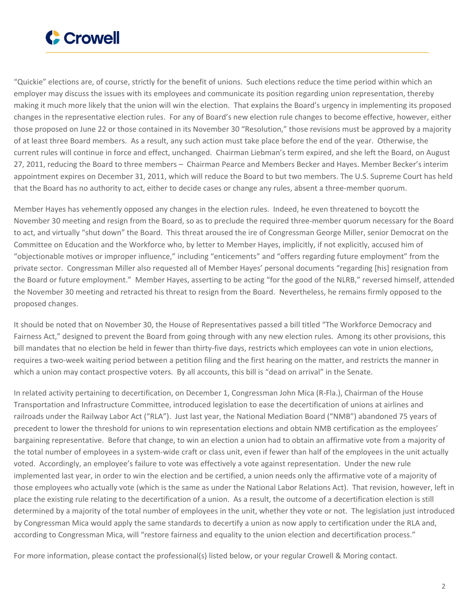

"Quickie" elections are, of course, strictly for the benefit of unions. Such elections reduce the time period within which an employer may discuss the issues with its employees and communicate its position regarding union representation, thereby making it much more likely that the union will win the election. That explains the Board's urgency in implementing its proposed changes in the representative election rules. For any of Board's new election rule changes to become effective, however, either those proposed on June 22 or those contained in its November 30 "Resolution," those revisions must be approved by a majority of at least three Board members. As a result, any such action must take place before the end of the year. Otherwise, the current rules will continue in force and effect, unchanged. Chairman Liebman's term expired, and she left the Board, on August 27, 2011, reducing the Board to three members – Chairman Pearce and Members Becker and Hayes. Member Becker's interim appointment expires on December 31, 2011, which will reduce the Board to but two members. The U.S. Supreme Court has held that the Board has no authority to act, either to decide cases or change any rules, absent a three-member quorum.

Member Hayes has vehemently opposed any changes in the election rules. Indeed, he even threatened to boycott the November 30 meeting and resign from the Board, so as to preclude the required three-member quorum necessary for the Board to act, and virtually "shut down" the Board. This threat aroused the ire of Congressman George Miller, senior Democrat on the Committee on Education and the Workforce who, by letter to Member Hayes, implicitly, if not explicitly, accused him of "objectionable motives or improper influence," including "enticements" and "offers regarding future employment" from the private sector. Congressman Miller also requested all of Member Hayes' personal documents "regarding [his] resignation from the Board or future employment." Member Hayes, asserting to be acting "for the good of the NLRB," reversed himself, attended the November 30 meeting and retracted his threat to resign from the Board. Nevertheless, he remains firmly opposed to the proposed changes.

It should be noted that on November 30, the House of Representatives passed a bill titled "The Workforce Democracy and Fairness Act," designed to prevent the Board from going through with any new election rules. Among its other provisions, this bill mandates that no election be held in fewer than thirty-five days, restricts which employees can vote in union elections, requires a two-week waiting period between a petition filing and the first hearing on the matter, and restricts the manner in which a union may contact prospective voters. By all accounts, this bill is "dead on arrival" in the Senate.

In related activity pertaining to decertification, on December 1, Congressman John Mica (R-Fla.), Chairman of the House Transportation and Infrastructure Committee, introduced legislation to ease the decertification of unions at airlines and railroads under the Railway Labor Act ("RLA"). Just last year, the National Mediation Board ("NMB") abandoned 75 years of precedent to lower the threshold for unions to win representation elections and obtain NMB certification as the employees' bargaining representative. Before that change, to win an election a union had to obtain an affirmative vote from a majority of the total number of employees in a system-wide craft or class unit, even if fewer than half of the employees in the unit actually voted. Accordingly, an employee's failure to vote was effectively a vote against representation. Under the new rule implemented last year, in order to win the election and be certified, a union needs only the affirmative vote of a majority of those employees who actually vote (which is the same as under the National Labor Relations Act). That revision, however, left in place the existing rule relating to the decertification of a union. As a result, the outcome of a decertification election is still determined by a majority of the total number of employees in the unit, whether they vote or not. The legislation just introduced by Congressman Mica would apply the same standards to decertify a union as now apply to certification under the RLA and, according to Congressman Mica, will "restore fairness and equality to the union election and decertification process."

For more information, please contact the professional(s) listed below, or your regular Crowell & Moring contact.